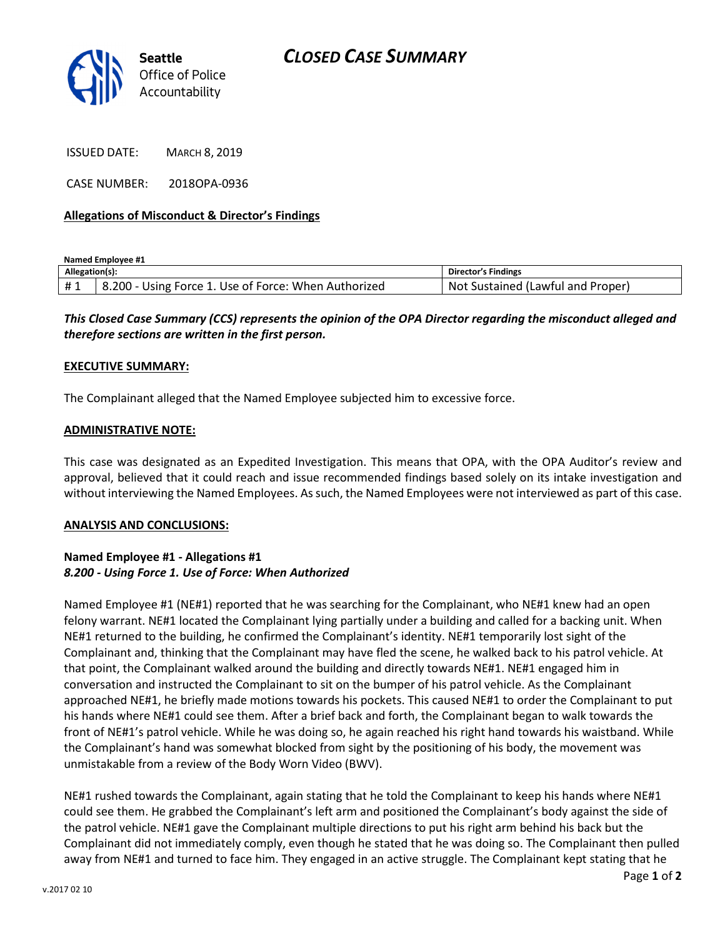

ISSUED DATE: MARCH 8, 2019

CASE NUMBER: 2018OPA-0936

#### Allegations of Misconduct & Director's Findings

Named Employee #1

| Allegation(s): |                                                            | <b>Director's Findings</b>                 |
|----------------|------------------------------------------------------------|--------------------------------------------|
| #1             | : Force 1. Use of Force: When Authorized<br>8.200<br>Using | l Proper<br>Sustained (Lawful and<br>. Not |

This Closed Case Summary (CCS) represents the opinion of the OPA Director regarding the misconduct alleged and therefore sections are written in the first person.

#### EXECUTIVE SUMMARY:

The Complainant alleged that the Named Employee subjected him to excessive force.

#### ADMINISTRATIVE NOTE:

This case was designated as an Expedited Investigation. This means that OPA, with the OPA Auditor's review and approval, believed that it could reach and issue recommended findings based solely on its intake investigation and without interviewing the Named Employees. As such, the Named Employees were not interviewed as part of this case.

### ANALYSIS AND CONCLUSIONS:

## Named Employee #1 - Allegations #1 8.200 - Using Force 1. Use of Force: When Authorized

Named Employee #1 (NE#1) reported that he was searching for the Complainant, who NE#1 knew had an open felony warrant. NE#1 located the Complainant lying partially under a building and called for a backing unit. When NE#1 returned to the building, he confirmed the Complainant's identity. NE#1 temporarily lost sight of the Complainant and, thinking that the Complainant may have fled the scene, he walked back to his patrol vehicle. At that point, the Complainant walked around the building and directly towards NE#1. NE#1 engaged him in conversation and instructed the Complainant to sit on the bumper of his patrol vehicle. As the Complainant approached NE#1, he briefly made motions towards his pockets. This caused NE#1 to order the Complainant to put his hands where NE#1 could see them. After a brief back and forth, the Complainant began to walk towards the front of NE#1's patrol vehicle. While he was doing so, he again reached his right hand towards his waistband. While the Complainant's hand was somewhat blocked from sight by the positioning of his body, the movement was unmistakable from a review of the Body Worn Video (BWV).

NE#1 rushed towards the Complainant, again stating that he told the Complainant to keep his hands where NE#1 could see them. He grabbed the Complainant's left arm and positioned the Complainant's body against the side of the patrol vehicle. NE#1 gave the Complainant multiple directions to put his right arm behind his back but the Complainant did not immediately comply, even though he stated that he was doing so. The Complainant then pulled away from NE#1 and turned to face him. They engaged in an active struggle. The Complainant kept stating that he